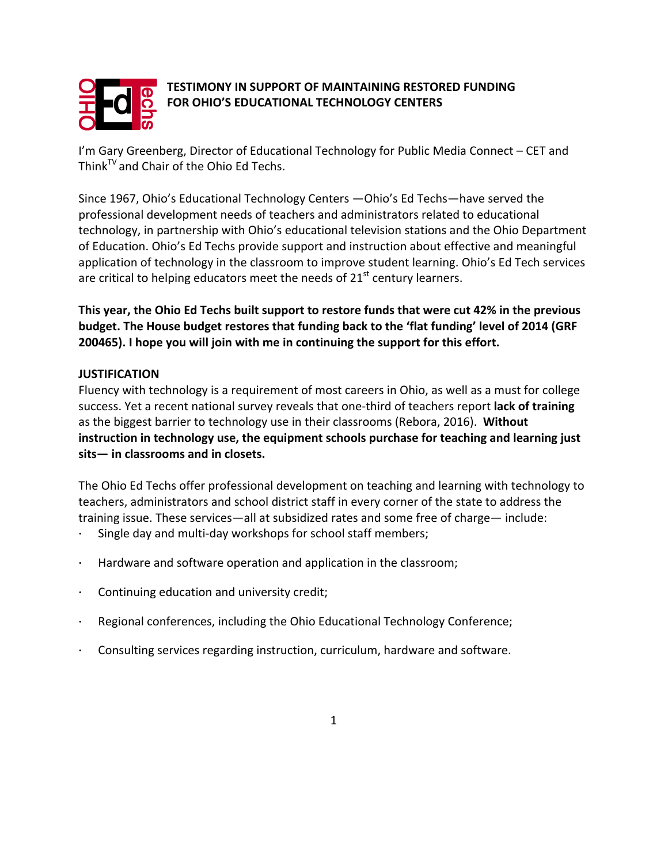

# **TESTIMONY IN SUPPORT OF MAINTAINING RESTORED FUNDING FOR OHIO'S EDUCATIONAL TECHNOLOGY CENTERS**

I'm Gary Greenberg, Director of Educational Technology for Public Media Connect – CET and Think<sup>TV</sup> and Chair of the Ohio Ed Techs.

Since 1967, Ohio's Educational Technology Centers —Ohio's Ed Techs—have served the professional development needs of teachers and administrators related to educational technology, in partnership with Ohio's educational television stations and the Ohio Department of Education. Ohio's Ed Techs provide support and instruction about effective and meaningful application of technology in the classroom to improve student learning. Ohio's Ed Tech services are critical to helping educators meet the needs of  $21<sup>st</sup>$  century learners.

This year, the Ohio Ed Techs built support to restore funds that were cut 42% in the previous **budget.** The House budget restores that funding back to the 'flat funding' level of 2014 (GRF **200465).** I hope you will join with me in continuing the support for this effort.

### **JUSTIFICATION**

Fluency with technology is a requirement of most careers in Ohio, as well as a must for college success. Yet a recent national survey reveals that one-third of teachers report lack of training as the biggest barrier to technology use in their classrooms (Rebora, 2016). Without instruction in technology use, the equipment schools purchase for teaching and learning just sits— in classrooms and in closets.

The Ohio Ed Techs offer professional development on teaching and learning with technology to teachers, administrators and school district staff in every corner of the state to address the training issue. These services—all at subsidized rates and some free of charge— include:

- Single day and multi-day workshops for school staff members;
- Hardware and software operation and application in the classroom;
- Continuing education and university credit;
- Regional conferences, including the Ohio Educational Technology Conference;
- Consulting services regarding instruction, curriculum, hardware and software.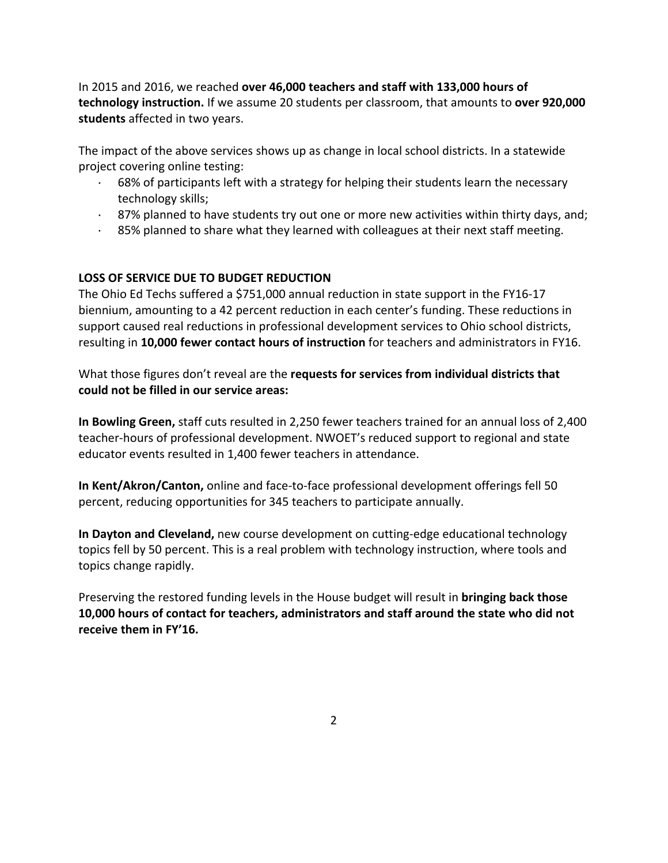In 2015 and 2016, we reached **over 46,000 teachers and staff with 133,000 hours of technology instruction.** If we assume 20 students per classroom, that amounts to **over 920,000** students affected in two years.

The impact of the above services shows up as change in local school districts. In a statewide project covering online testing:

- $\cdot$  68% of participants left with a strategy for helping their students learn the necessary technology skills;
- $\cdot$  87% planned to have students try out one or more new activities within thirty days, and;
- $\cdot$  85% planned to share what they learned with colleagues at their next staff meeting.

## **LOSS OF SERVICE DUE TO BUDGET REDUCTION**

The Ohio Ed Techs suffered a \$751,000 annual reduction in state support in the FY16-17 biennium, amounting to a 42 percent reduction in each center's funding. These reductions in support caused real reductions in professional development services to Ohio school districts, resulting in 10,000 fewer contact hours of instruction for teachers and administrators in FY16.

What those figures don't reveal are the **requests for services from individual districts that could not be filled in our service areas:**

**In Bowling Green,** staff cuts resulted in 2,250 fewer teachers trained for an annual loss of 2,400 teacher-hours of professional development. NWOET's reduced support to regional and state educator events resulted in 1,400 fewer teachers in attendance.

**In Kent/Akron/Canton,** online and face-to-face professional development offerings fell 50 percent, reducing opportunities for 345 teachers to participate annually.

**In Dayton and Cleveland,** new course development on cutting-edge educational technology topics fell by 50 percent. This is a real problem with technology instruction, where tools and topics change rapidly.

Preserving the restored funding levels in the House budget will result in **bringing back those 10,000** hours of contact for teachers, administrators and staff around the state who did not receive them in FY'16.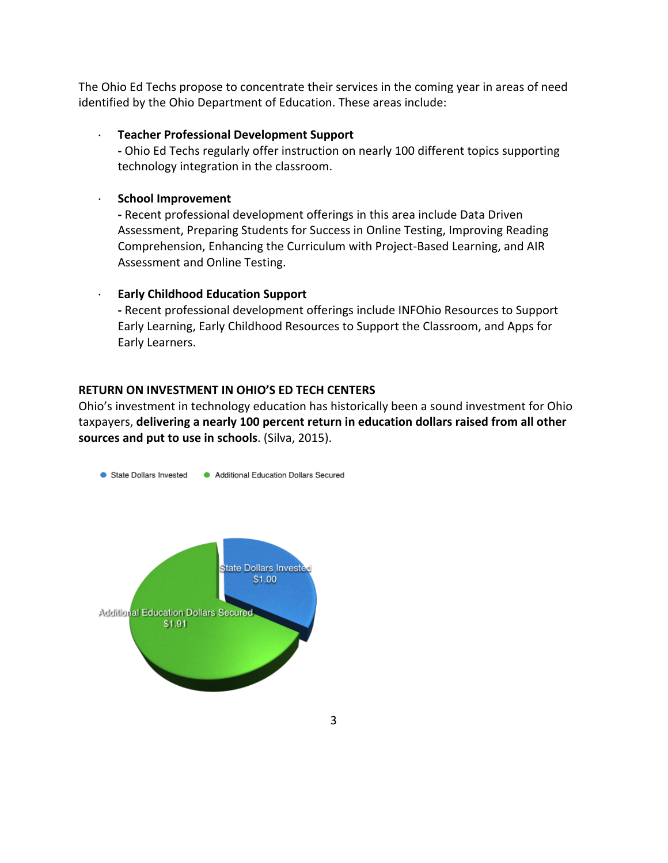The Ohio Ed Techs propose to concentrate their services in the coming year in areas of need identified by the Ohio Department of Education. These areas include:

#### **Teacher Professional Development Support**

- Ohio Ed Techs regularly offer instruction on nearly 100 different topics supporting technology integration in the classroom.

#### · **School Improvement**

- Recent professional development offerings in this area include Data Driven Assessment, Preparing Students for Success in Online Testing, Improving Reading Comprehension, Enhancing the Curriculum with Project-Based Learning, and AIR Assessment and Online Testing.

#### **Early Childhood Education Support**

- Recent professional development offerings include INFOhio Resources to Support Early Learning, Early Childhood Resources to Support the Classroom, and Apps for Early Learners.

#### **RETURN ON INVESTMENT IN OHIO'S ED TECH CENTERS**

Ohio's investment in technology education has historically been a sound investment for Ohio taxpayers, delivering a nearly 100 percent return in education dollars raised from all other sources and put to use in schools. (Silva, 2015).